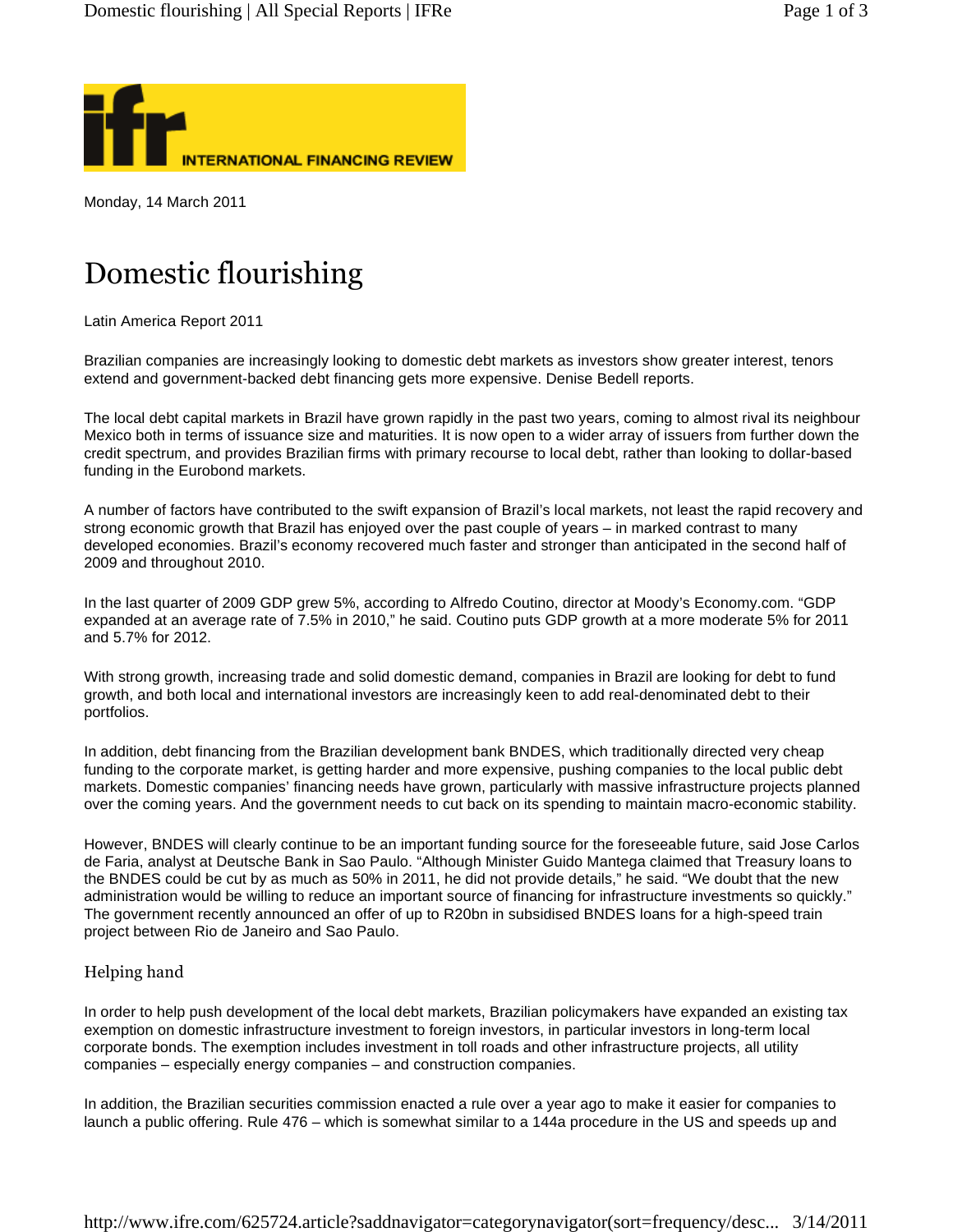

Monday, 14 March 2011

## Domestic flourishing

Latin America Report 2011

Brazilian companies are increasingly looking to domestic debt markets as investors show greater interest, tenors extend and government-backed debt financing gets more expensive. Denise Bedell reports.

The local debt capital markets in Brazil have grown rapidly in the past two years, coming to almost rival its neighbour Mexico both in terms of issuance size and maturities. It is now open to a wider array of issuers from further down the credit spectrum, and provides Brazilian firms with primary recourse to local debt, rather than looking to dollar-based funding in the Eurobond markets.

A number of factors have contributed to the swift expansion of Brazil's local markets, not least the rapid recovery and strong economic growth that Brazil has enjoyed over the past couple of years – in marked contrast to many developed economies. Brazil's economy recovered much faster and stronger than anticipated in the second half of 2009 and throughout 2010.

In the last quarter of 2009 GDP grew 5%, according to Alfredo Coutino, director at Moody's Economy.com. "GDP expanded at an average rate of 7.5% in 2010," he said. Coutino puts GDP growth at a more moderate 5% for 2011 and 5.7% for 2012.

With strong growth, increasing trade and solid domestic demand, companies in Brazil are looking for debt to fund growth, and both local and international investors are increasingly keen to add real-denominated debt to their portfolios.

In addition, debt financing from the Brazilian development bank BNDES, which traditionally directed very cheap funding to the corporate market, is getting harder and more expensive, pushing companies to the local public debt markets. Domestic companies' financing needs have grown, particularly with massive infrastructure projects planned over the coming years. And the government needs to cut back on its spending to maintain macro-economic stability.

However, BNDES will clearly continue to be an important funding source for the foreseeable future, said Jose Carlos de Faria, analyst at Deutsche Bank in Sao Paulo. "Although Minister Guido Mantega claimed that Treasury loans to the BNDES could be cut by as much as 50% in 2011, he did not provide details," he said. "We doubt that the new administration would be willing to reduce an important source of financing for infrastructure investments so quickly." The government recently announced an offer of up to R20bn in subsidised BNDES loans for a high-speed train project between Rio de Janeiro and Sao Paulo.

## Helping hand

In order to help push development of the local debt markets, Brazilian policymakers have expanded an existing tax exemption on domestic infrastructure investment to foreign investors, in particular investors in long-term local corporate bonds. The exemption includes investment in toll roads and other infrastructure projects, all utility companies – especially energy companies – and construction companies.

In addition, the Brazilian securities commission enacted a rule over a year ago to make it easier for companies to launch a public offering. Rule 476 – which is somewhat similar to a 144a procedure in the US and speeds up and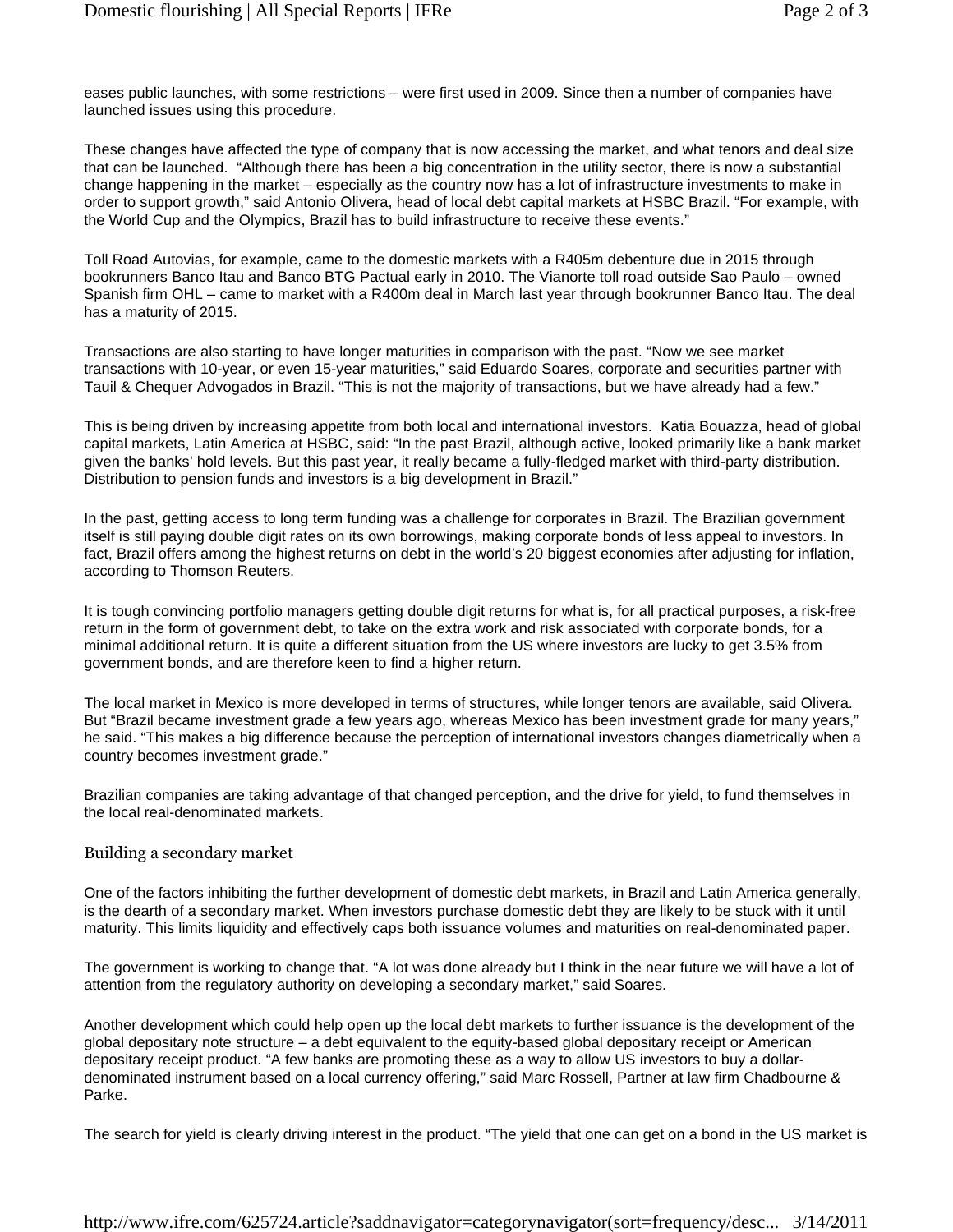eases public launches, with some restrictions – were first used in 2009. Since then a number of companies have launched issues using this procedure.

These changes have affected the type of company that is now accessing the market, and what tenors and deal size that can be launched. "Although there has been a big concentration in the utility sector, there is now a substantial change happening in the market – especially as the country now has a lot of infrastructure investments to make in order to support growth," said Antonio Olivera, head of local debt capital markets at HSBC Brazil. "For example, with the World Cup and the Olympics, Brazil has to build infrastructure to receive these events."

Toll Road Autovias, for example, came to the domestic markets with a R405m debenture due in 2015 through bookrunners Banco Itau and Banco BTG Pactual early in 2010. The Vianorte toll road outside Sao Paulo – owned Spanish firm OHL – came to market with a R400m deal in March last year through bookrunner Banco Itau. The deal has a maturity of 2015.

Transactions are also starting to have longer maturities in comparison with the past. "Now we see market transactions with 10-year, or even 15-year maturities," said Eduardo Soares, corporate and securities partner with Tauil & Chequer Advogados in Brazil. "This is not the majority of transactions, but we have already had a few."

This is being driven by increasing appetite from both local and international investors. Katia Bouazza, head of global capital markets, Latin America at HSBC, said: "In the past Brazil, although active, looked primarily like a bank market given the banks' hold levels. But this past year, it really became a fully-fledged market with third-party distribution. Distribution to pension funds and investors is a big development in Brazil."

In the past, getting access to long term funding was a challenge for corporates in Brazil. The Brazilian government itself is still paying double digit rates on its own borrowings, making corporate bonds of less appeal to investors. In fact, Brazil offers among the highest returns on debt in the world's 20 biggest economies after adjusting for inflation, according to Thomson Reuters.

It is tough convincing portfolio managers getting double digit returns for what is, for all practical purposes, a risk-free return in the form of government debt, to take on the extra work and risk associated with corporate bonds, for a minimal additional return. It is quite a different situation from the US where investors are lucky to get 3.5% from government bonds, and are therefore keen to find a higher return.

The local market in Mexico is more developed in terms of structures, while longer tenors are available, said Olivera. But "Brazil became investment grade a few years ago, whereas Mexico has been investment grade for many years," he said. "This makes a big difference because the perception of international investors changes diametrically when a country becomes investment grade."

Brazilian companies are taking advantage of that changed perception, and the drive for yield, to fund themselves in the local real-denominated markets.

## Building a secondary market

One of the factors inhibiting the further development of domestic debt markets, in Brazil and Latin America generally, is the dearth of a secondary market. When investors purchase domestic debt they are likely to be stuck with it until maturity. This limits liquidity and effectively caps both issuance volumes and maturities on real-denominated paper.

The government is working to change that. "A lot was done already but I think in the near future we will have a lot of attention from the regulatory authority on developing a secondary market," said Soares.

Another development which could help open up the local debt markets to further issuance is the development of the global depositary note structure – a debt equivalent to the equity-based global depositary receipt or American depositary receipt product. "A few banks are promoting these as a way to allow US investors to buy a dollardenominated instrument based on a local currency offering," said Marc Rossell, Partner at law firm Chadbourne & Parke.

The search for yield is clearly driving interest in the product. "The yield that one can get on a bond in the US market is